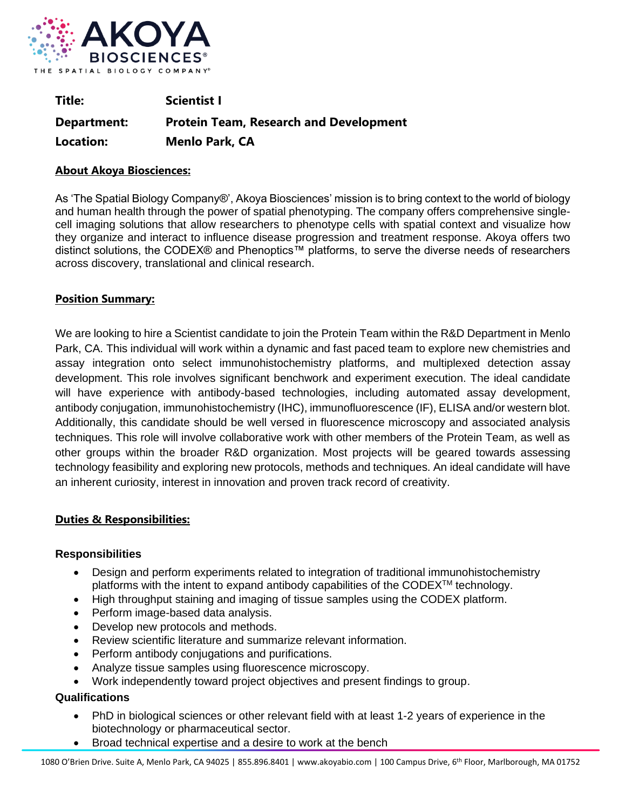

| Title:      | <b>Scientist I</b>                            |
|-------------|-----------------------------------------------|
| Department: | <b>Protein Team, Research and Development</b> |
| Location:   | <b>Menlo Park, CA</b>                         |

## **About Akoya Biosciences:**

As 'The Spatial Biology Company®', Akoya Biosciences' mission is to bring context to the world of biology and human health through the power of spatial phenotyping. The company offers comprehensive singlecell imaging solutions that allow researchers to phenotype cells with spatial context and visualize how they organize and interact to influence disease progression and treatment response. Akoya offers two distinct solutions, the CODEX® and Phenoptics™ platforms, to serve the diverse needs of researchers across discovery, translational and clinical research.

## **Position Summary:**

We are looking to hire a Scientist candidate to join the Protein Team within the R&D Department in Menlo Park, CA. This individual will work within a dynamic and fast paced team to explore new chemistries and assay integration onto select immunohistochemistry platforms, and multiplexed detection assay development. This role involves significant benchwork and experiment execution. The ideal candidate will have experience with antibody-based technologies, including automated assay development, antibody conjugation, immunohistochemistry (IHC), immunofluorescence (IF), ELISA and/or western blot. Additionally, this candidate should be well versed in fluorescence microscopy and associated analysis techniques. This role will involve collaborative work with other members of the Protein Team, as well as other groups within the broader R&D organization. Most projects will be geared towards assessing technology feasibility and exploring new protocols, methods and techniques. An ideal candidate will have an inherent curiosity, interest in innovation and proven track record of creativity.

# **Duties & Responsibilities:**

### **Responsibilities**

- Design and perform experiments related to integration of traditional immunohistochemistry platforms with the intent to expand antibody capabilities of the CODE $X^{TM}$  technology.
- High throughput staining and imaging of tissue samples using the CODEX platform.
- Perform image-based data analysis.
- Develop new protocols and methods.
- Review scientific literature and summarize relevant information.
- Perform antibody conjugations and purifications.
- Analyze tissue samples using fluorescence microscopy.
- Work independently toward project objectives and present findings to group.

# **Qualifications**

- PhD in biological sciences or other relevant field with at least 1-2 years of experience in the biotechnology or pharmaceutical sector.
- Broad technical expertise and a desire to work at the bench